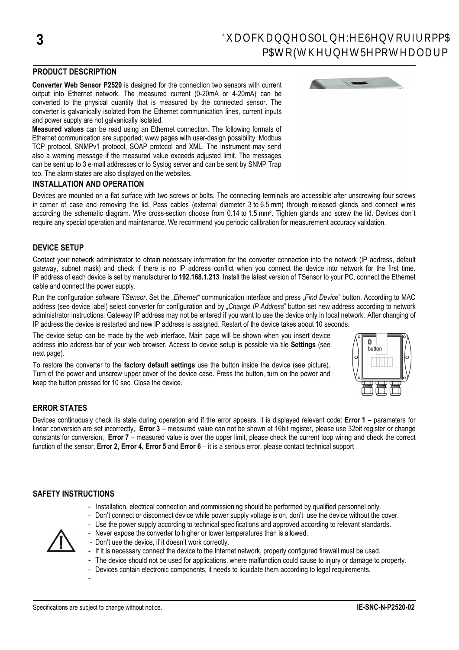# PRODUCT DESCRIPTION

Converter Web Sensor P2520 is designed for the connection two sensors with current output into Ethernet network. The measured current (0-20mA or 4-20mA) can be converted to the physical quantity that is measured by the connected sensor. The converter is galvanically isolated from the Ethernet communication lines, current inputs and power supply are not galvanically isolated.

Measured values can be read using an Ethernet connection. The following formats of Ethernet communication are supported: www pages with user-design possibility, Modbus TCP protocol, SNMPv1 protocol, SOAP protocol and XML. The instrument may send also a warning message if the measured value exceeds adjusted limit. The messages can be sent up to 3 e-mail addresses or to Syslog server and can be sent by SNMP Trap too. The alarm states are also displayed on the websites.

## INSTALLATION AND OPERATION

Devices are mounted on a flat surface with two screws or bolts. The connecting terminals are accessible after unscrewing four screws in corner of case and removing the lid. Pass cables (external diameter 3 to 6.5 mm) through released glands and connect wires according the schematic diagram. Wire cross-section choose from 0.14 to 1.5 mm<sup>2</sup>. Tighten glands and screw the lid. Devices don't require any special operation and maintenance. We recommend you periodic calibration for measurement accuracy validation.

## DEVICE SETUP

Contact your network administrator to obtain necessary information for the converter connection into the network (IP address, default gateway, subnet mask) and check if there is no IP address conflict when you connect the device into network for the first time. IP address of each device is set by manufacturer to 192.168.1.213. Install the latest version of TSensor to your PC, connect the Ethernet cable and connect the power supply.

Run the configuration software TSensor. Set the "Ethernet" communication interface and press "Find Device" button. According to MAC address (see device label) select converter for configuration and by "Change IP Address" button set new address according to network administrator instructions. Gateway IP address may not be entered if you want to use the device only in local network. After changing of IP address the device is restarted and new IP address is assigned. Restart of the device takes about 10 seconds.

The device setup can be made by the web interface. Main page will be shown when you insert device address into address bar of your web browser. Access to device setup is possible via tile Settings (see next page).

To restore the converter to the factory default settings use the button inside the device (see picture). Turn of the power and unscrew upper cover of the device case. Press the button, turn on the power and keep the button pressed for 10 sec. Close the device.



## ERROR STATES

Devices continuously check its state during operation and if the error appears, it is displayed relevant code: Error 1 – parameters for linear conversion are set incorrectly. Error 3 – measured value can not be shown at 16bit register, please use 32bit register or change constants for conversion. Error  $7$  – measured value is over the upper limit, please check the current loop wiring and check the correct function of the sensor, Error 2, Error 4, Error 5 and Error 6 – it is a serious error, please contact technical support

## SAFETY INSTRUCTIONS

- Installation, electrical connection and commissioning should be performed by qualified personnel only.
- Don't connect or disconnect device while power supply voltage is on, don't use the device without the cover.
- Use the power supply according to technical specifications and approved according to relevant standards.



- Never expose the converter to higher or lower temperatures than is allowed.
- Don't use the device, if it doesn't work correctly.
- If it is necessary connect the device to the Internet network, properly configured firewall must be used.
- The device should not be used for applications, where malfunction could cause to injury or damage to property.
- Devices contain electronic components, it needs to liquidate them according to legal requirements.
- -